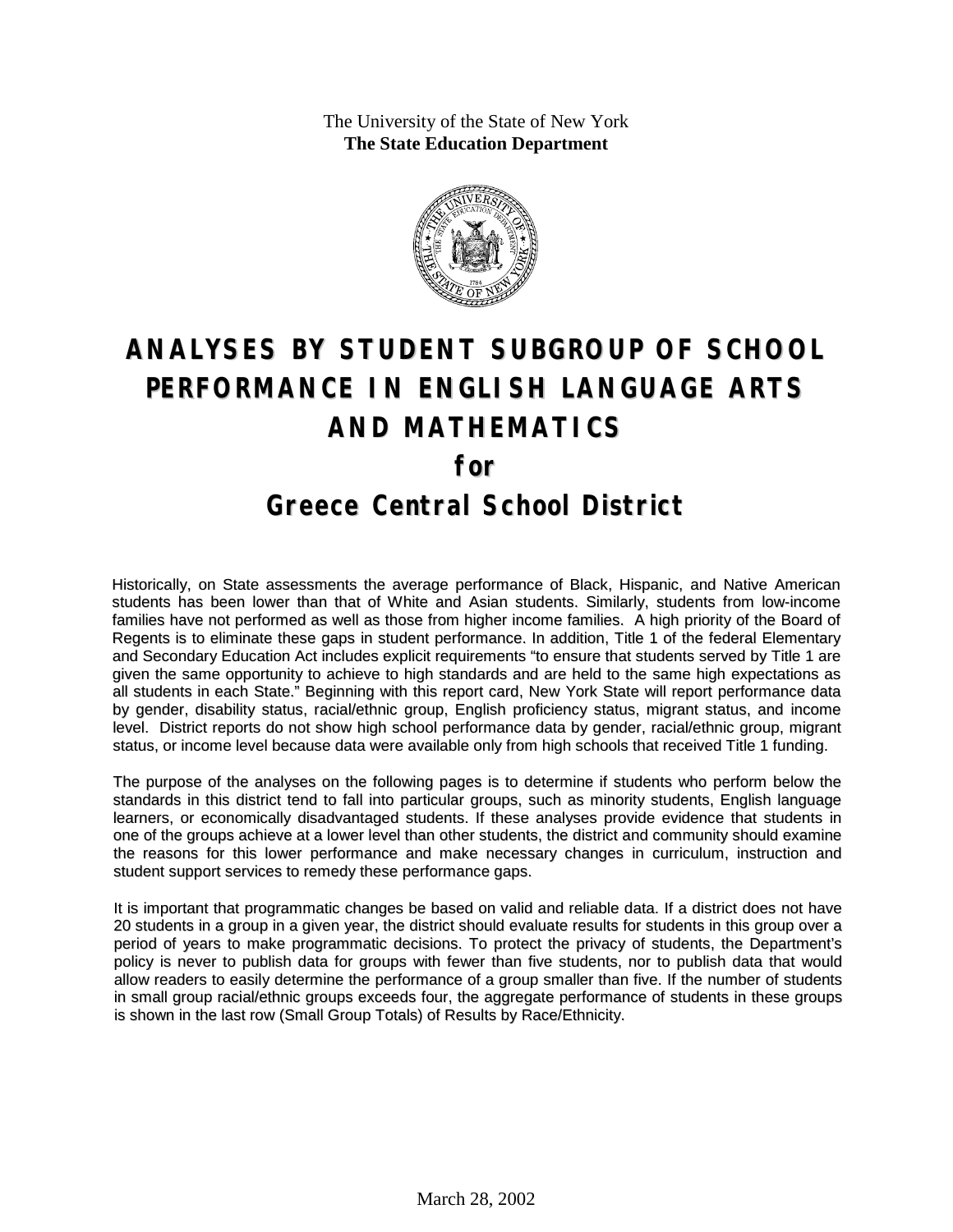The University of the State of New York **The State Education Department**



# **ANALYSES BY STUDENT SUBGROUP OF SCHOOL PERFORMANCE IN ENGLISH LANGUAGE ARTS AND MATHEMATICS for Greece Central School District**

Historically, on State assessments the average performance of Black, Hispanic, and Native American students has been lower than that of White and Asian students. Similarly, students from low-income families have not performed as well as those from higher income families. A high priority of the Board of Regents is to eliminate these gaps in student performance. In addition, Title 1 of the federal Elementary and Secondary Education Act includes explicit requirements "to ensure that students served by Title 1 are given the same opportunity to achieve to high standards and are held to the same high expectations as all students in each State." Beginning with this report card, New York State will report performance data by gender, disability status, racial/ethnic group, English proficiency status, migrant status, and income level. District reports do not show high school performance data by gender, racial/ethnic group, migrant status, or income level because data were available only from high schools that received Title 1 funding.

The purpose of the analyses on the following pages is to determine if students who perform below the standards in this district tend to fall into particular groups, such as minority students, English language learners, or economically disadvantaged students. If these analyses provide evidence that students in one of the groups achieve at a lower level than other students, the district and community should examine the reasons for this lower performance and make necessary changes in curriculum, instruction and student support services to remedy these performance gaps.

It is important that programmatic changes be based on valid and reliable data. If a district does not have 20 students in a group in a given year, the district should evaluate results for students in this group over a period of years to make programmatic decisions. To protect the privacy of students, the Department's policy is never to publish data for groups with fewer than five students, nor to publish data that would allow readers to easily determine the performance of a group smaller than five. If the number of students in small group racial/ethnic groups exceeds four, the aggregate performance of students in these groups is shown in the last row (Small Group Totals) of Results by Race/Ethnicity.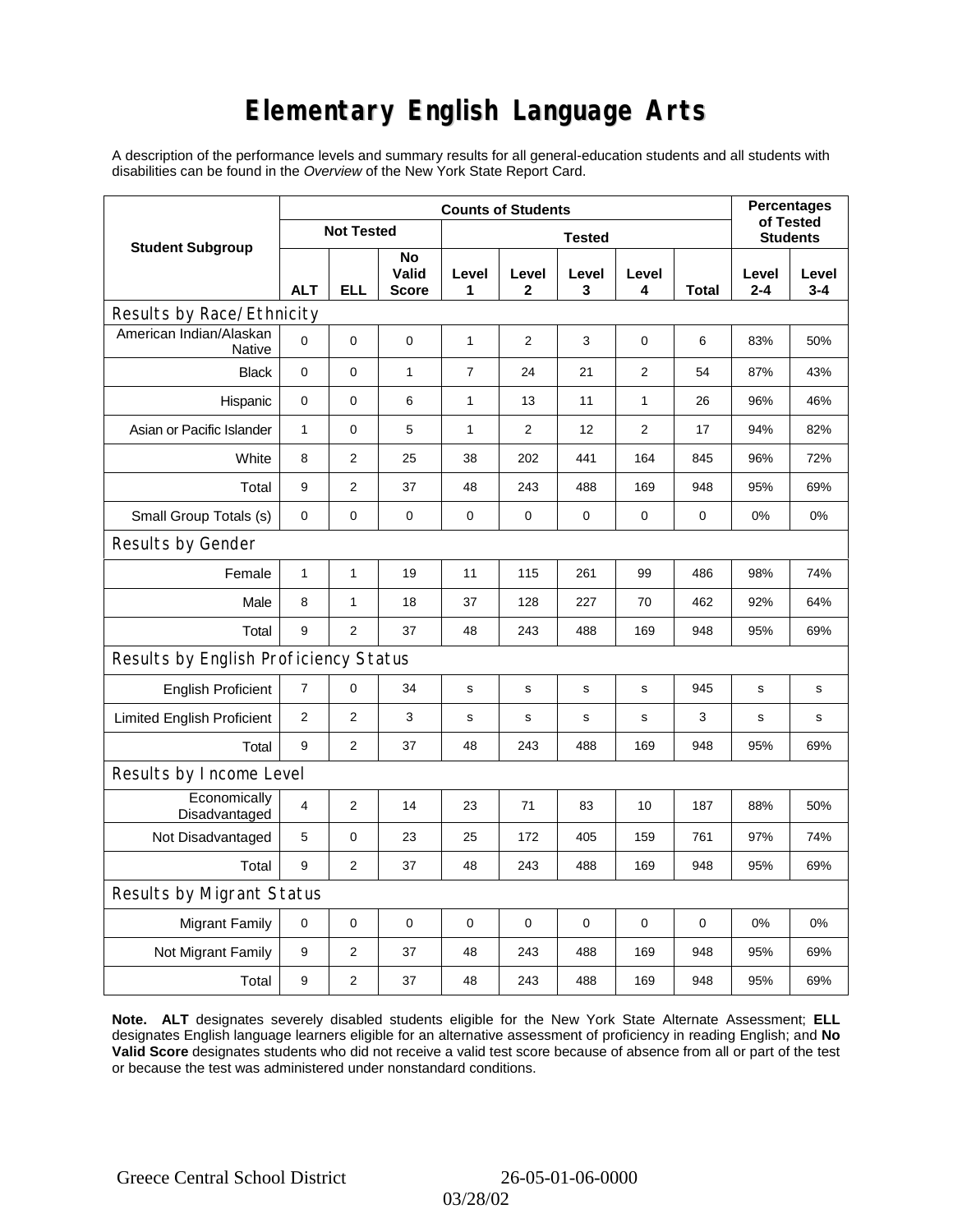# **Elementary English Language Arts**

A description of the performance levels and summary results for all general-education students and all students with disabilities can be found in the *Overview* of the New York State Report Card.

|                                          |                | <b>Percentages</b><br>of Tested |                             |                |                |              |                 |       |              |                  |
|------------------------------------------|----------------|---------------------------------|-----------------------------|----------------|----------------|--------------|-----------------|-------|--------------|------------------|
| <b>Student Subgroup</b>                  |                | <b>Not Tested</b>               |                             |                |                |              | <b>Students</b> |       |              |                  |
|                                          | <b>ALT</b>     | ELL                             | No<br>Valid<br><b>Score</b> | Level<br>1     | Level<br>2     | Level<br>3   | Level<br>4      | Total | Level<br>2-4 | Level<br>$3 - 4$ |
| Results by Race/Ethnicity                |                |                                 |                             |                |                |              |                 |       |              |                  |
| American Indian/Alaskan<br><b>Native</b> | $\mathbf 0$    | 0                               | 0                           | 1              | 2              | 3            | 0               | 6     | 83%          | 50%              |
| <b>Black</b>                             | $\mathbf 0$    | 0                               | $\mathbf{1}$                | $\overline{7}$ | 24             | 21           | 2               | 54    | 87%          | 43%              |
| Hispanic                                 | $\mathbf 0$    | 0                               | 6                           | 1              | 13             | 11           | 1               | 26    | 96%          | 46%              |
| Asian or Pacific Islander                | $\mathbf{1}$   | 0                               | 5                           | 1              | $\overline{2}$ | 12           | 2               | 17    | 94%          | 82%              |
| White                                    | 8              | $\overline{2}$                  | 25                          | 38             | 202            | 441          | 164             | 845   | 96%          | 72%              |
| Total                                    | 9              | $\overline{2}$                  | 37                          | 48             | 243            | 488          | 169             | 948   | 95%          | 69%              |
| Small Group Totals (s)                   | 0              | 0                               | 0                           | 0              | 0              | 0            | 0               | 0     | 0%           | 0%               |
| Results by Gender                        |                |                                 |                             |                |                |              |                 |       |              |                  |
| Female                                   | $\mathbf{1}$   | $\mathbf 1$                     | 19                          | 11             | 115            | 261          | 99              | 486   | 98%          | 74%              |
| Male                                     | 8              | $\mathbf{1}$                    | 18                          | 37             | 128            | 227          | 70              | 462   | 92%          | 64%              |
| Total                                    | 9              | $\overline{2}$                  | 37                          | 48             | 243            | 488          | 169             | 948   | 95%          | 69%              |
| Results by English Proficiency Status    |                |                                 |                             |                |                |              |                 |       |              |                  |
| <b>English Proficient</b>                | $\overline{7}$ | 0                               | 34                          | s              | s              | s            | s               | 945   | s            | $\mathbf s$      |
| <b>Limited English Proficient</b>        | 2              | $\overline{2}$                  | 3                           | s              | s              | $\mathsf{s}$ | s               | 3     | s            | s                |
| Total                                    | 9              | 2                               | 37                          | 48             | 243            | 488          | 169             | 948   | 95%          | 69%              |
| Results by Income Level                  |                |                                 |                             |                |                |              |                 |       |              |                  |
| Economically<br>Disadvantaged            | $\overline{4}$ | 2                               | 14                          | 23             | 71             | 83           | 10              | 187   | 88%          | 50%              |
| Not Disadvantaged                        | 5              | 0                               | 23                          | 25             | 172            | 405          | 159             | 761   | 97%          | 74%              |
| Total                                    | 9              | $\overline{2}$                  | 37                          | 48             | 243            | 488          | 169             | 948   | 95%          | 69%              |
| Results by Migrant Status                |                |                                 |                             |                |                |              |                 |       |              |                  |
| <b>Migrant Family</b>                    | 0              | 0                               | 0                           | 0              | 0              | $\mathbf 0$  | 0               | 0     | 0%           | 0%               |
| Not Migrant Family                       | 9              | 2                               | 37                          | 48             | 243            | 488          | 169             | 948   | 95%          | 69%              |
| Total                                    | 9              | 2                               | 37                          | 48             | 243            | 488          | 169             | 948   | 95%          | 69%              |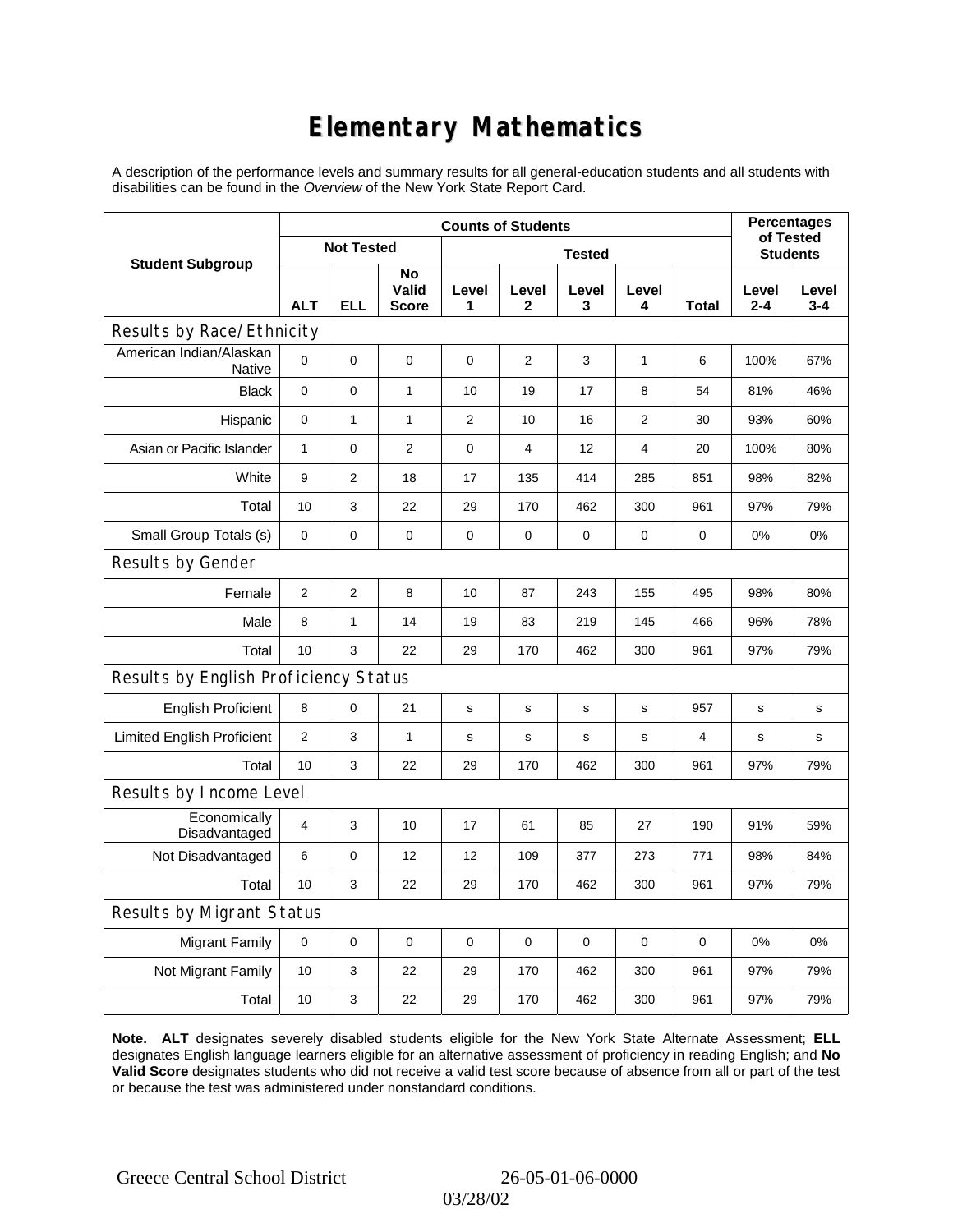# **Elementary Mathematics**

A description of the performance levels and summary results for all general-education students and all students with disabilities can be found in the *Overview* of the New York State Report Card.

|                                          | <b>Counts of Students</b> |                   |                             |              |                |                 |                |       | <b>Percentages</b><br>of Tested |                  |
|------------------------------------------|---------------------------|-------------------|-----------------------------|--------------|----------------|-----------------|----------------|-------|---------------------------------|------------------|
| <b>Student Subgroup</b>                  |                           | <b>Not Tested</b> |                             |              |                | <b>Students</b> |                |       |                                 |                  |
|                                          | <b>ALT</b>                | <b>ELL</b>        | No<br>Valid<br><b>Score</b> | Level<br>1   | Level<br>2     | Level<br>3      | Level<br>4     | Total | Level<br>$2 - 4$                | Level<br>$3 - 4$ |
| Results by Race/Ethnicity                |                           |                   |                             |              |                |                 |                |       |                                 |                  |
| American Indian/Alaskan<br><b>Native</b> | $\mathbf 0$               | 0                 | 0                           | 0            | $\overline{2}$ | 3               | 1              | 6     | 100%                            | 67%              |
| <b>Black</b>                             | $\pmb{0}$                 | 0                 | $\mathbf{1}$                | 10           | 19             | 17              | 8              | 54    | 81%                             | 46%              |
| Hispanic                                 | 0                         | $\mathbf{1}$      | 1                           | $\mathbf{2}$ | 10             | 16              | $\overline{2}$ | 30    | 93%                             | 60%              |
| Asian or Pacific Islander                | $\mathbf{1}$              | 0                 | $\overline{2}$              | $\mathbf 0$  | $\overline{4}$ | 12              | 4              | 20    | 100%                            | 80%              |
| White                                    | 9                         | 2                 | 18                          | 17           | 135            | 414             | 285            | 851   | 98%                             | 82%              |
| Total                                    | 10                        | 3                 | 22                          | 29           | 170            | 462             | 300            | 961   | 97%                             | 79%              |
| Small Group Totals (s)                   | 0                         | 0                 | 0                           | 0            | 0              | 0               | 0              | 0     | 0%                              | 0%               |
| Results by Gender                        |                           |                   |                             |              |                |                 |                |       |                                 |                  |
| Female                                   | 2                         | $\overline{2}$    | 8                           | 10           | 87             | 243             | 155            | 495   | 98%                             | 80%              |
| Male                                     | 8                         | $\mathbf{1}$      | 14                          | 19           | 83             | 219             | 145            | 466   | 96%                             | 78%              |
| Total                                    | 10                        | 3                 | 22                          | 29           | 170            | 462             | 300            | 961   | 97%                             | 79%              |
| Results by English Proficiency Status    |                           |                   |                             |              |                |                 |                |       |                                 |                  |
| <b>English Proficient</b>                | 8                         | 0                 | 21                          | s            | s              | $\mathbf S$     | s              | 957   | s                               | s                |
| <b>Limited English Proficient</b>        | $\mathbf{2}$              | 3                 | $\mathbf{1}$                | s            | s              | $\mathbf s$     | s              | 4     | $\mathbf s$                     | s                |
| Total                                    | 10                        | 3                 | 22                          | 29           | 170            | 462             | 300            | 961   | 97%                             | 79%              |
| Results by Income Level                  |                           |                   |                             |              |                |                 |                |       |                                 |                  |
| Economically<br>Disadvantaged            | $\overline{4}$            | 3                 | 10                          | 17           | 61             | 85              | 27             | 190   | 91%                             | 59%              |
| Not Disadvantaged                        | 6                         | 0                 | 12                          | 12           | 109            | 377             | 273            | 771   | 98%                             | 84%              |
| Total                                    | 10                        | 3                 | 22                          | 29           | 170            | 462             | 300            | 961   | 97%                             | 79%              |
| Results by Migrant Status                |                           |                   |                             |              |                |                 |                |       |                                 |                  |
| <b>Migrant Family</b>                    | $\mathbf 0$               | 0                 | $\pmb{0}$                   | $\pmb{0}$    | 0              | 0               | 0              | 0     | 0%                              | 0%               |
| Not Migrant Family                       | 10                        | 3                 | 22                          | 29           | 170            | 462             | 300            | 961   | 97%                             | 79%              |
| Total                                    | 10                        | 3                 | 22                          | 29           | 170            | 462             | 300            | 961   | 97%                             | 79%              |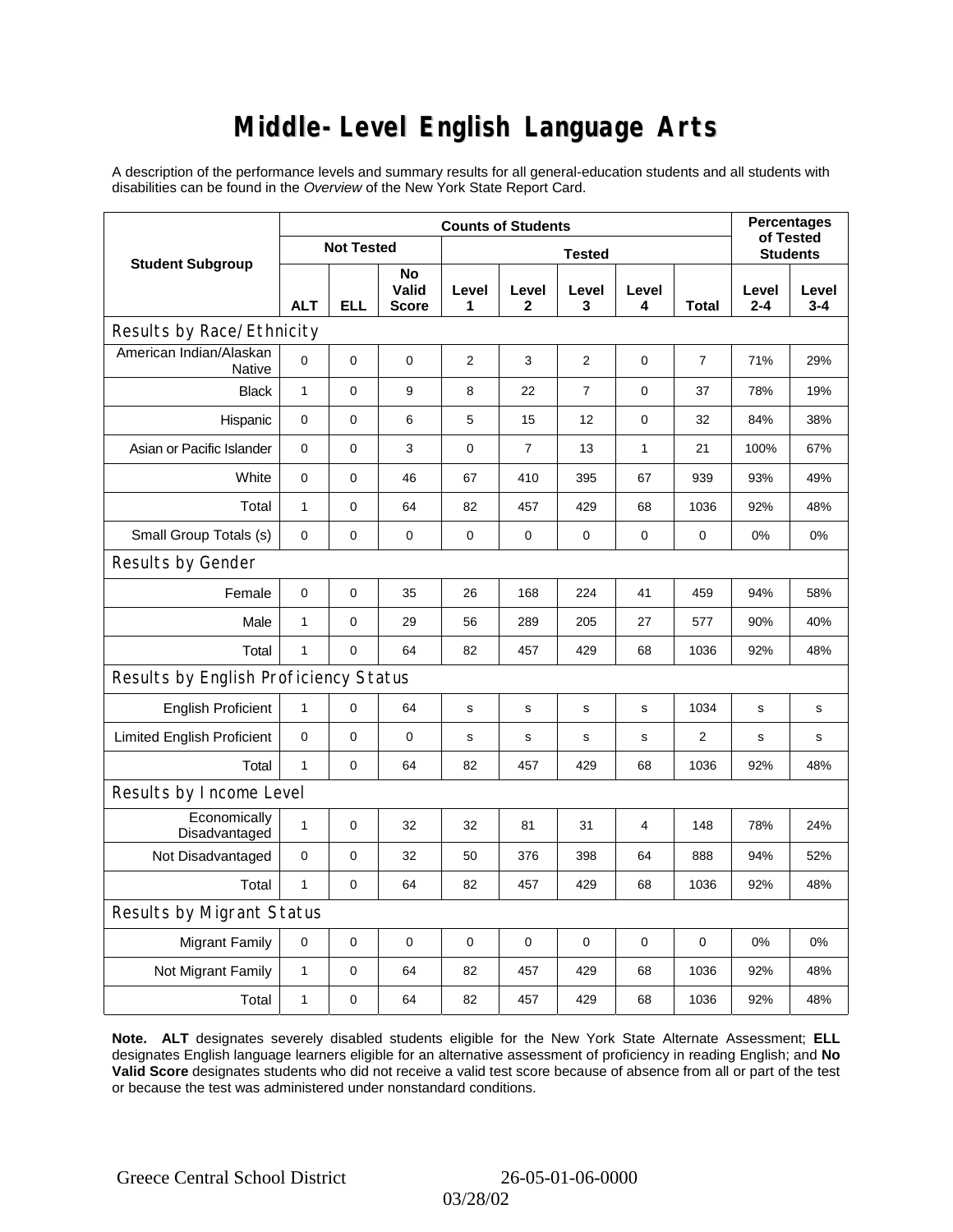### **Middle-Level English Language Arts**

A description of the performance levels and summary results for all general-education students and all students with disabilities can be found in the *Overview* of the New York State Report Card.

|                                       | <b>Counts of Students</b> |                   |                      |                |                |                |                 |                | <b>Percentages</b><br>of Tested |                  |
|---------------------------------------|---------------------------|-------------------|----------------------|----------------|----------------|----------------|-----------------|----------------|---------------------------------|------------------|
| <b>Student Subgroup</b>               |                           | <b>Not Tested</b> |                      |                |                |                | <b>Students</b> |                |                                 |                  |
|                                       | <b>ALT</b>                | <b>ELL</b>        | No<br>Valid<br>Score | Level<br>1     | Level<br>2     | Level<br>3     | Level<br>4      | <b>Total</b>   | Level<br>$2 - 4$                | Level<br>$3 - 4$ |
| Results by Race/Ethnicity             |                           |                   |                      |                |                |                |                 |                |                                 |                  |
| American Indian/Alaskan<br>Native     | 0                         | $\mathbf 0$       | $\pmb{0}$            | $\overline{2}$ | 3              | 2              | 0               | $\overline{7}$ | 71%                             | 29%              |
| <b>Black</b>                          | $\mathbf{1}$              | 0                 | 9                    | 8              | 22             | $\overline{7}$ | $\mathbf 0$     | 37             | 78%                             | 19%              |
| Hispanic                              | 0                         | 0                 | 6                    | 5              | 15             | 12             | $\mathbf 0$     | 32             | 84%                             | 38%              |
| Asian or Pacific Islander             | 0                         | 0                 | 3                    | $\pmb{0}$      | $\overline{7}$ | 13             | $\mathbf{1}$    | 21             | 100%                            | 67%              |
| White                                 | 0                         | 0                 | 46                   | 67             | 410            | 395            | 67              | 939            | 93%                             | 49%              |
| Total                                 | $\mathbf{1}$              | 0                 | 64                   | 82             | 457            | 429            | 68              | 1036           | 92%                             | 48%              |
| Small Group Totals (s)                | 0                         | 0                 | $\mathbf 0$          | $\pmb{0}$      | 0              | 0              | 0               | 0              | 0%                              | 0%               |
| Results by Gender                     |                           |                   |                      |                |                |                |                 |                |                                 |                  |
| Female                                | 0                         | $\mathsf 0$       | 35                   | 26             | 168            | 224            | 41              | 459            | 94%                             | 58%              |
| Male                                  | $\mathbf{1}$              | 0                 | 29                   | 56             | 289            | 205            | 27              | 577            | 90%                             | 40%              |
| Total                                 | $\mathbf{1}$              | 0                 | 64                   | 82             | 457            | 429            | 68              | 1036           | 92%                             | 48%              |
| Results by English Proficiency Status |                           |                   |                      |                |                |                |                 |                |                                 |                  |
| <b>English Proficient</b>             | 1                         | 0                 | 64                   | $\mathbf s$    | S              | s              | s               | 1034           | s                               | $\mathbf s$      |
| <b>Limited English Proficient</b>     | 0                         | 0                 | $\pmb{0}$            | s              | $\mathbf S$    | s              | s               | 2              | s                               | s                |
| Total                                 | $\mathbf{1}$              | 0                 | 64                   | 82             | 457            | 429            | 68              | 1036           | 92%                             | 48%              |
| Results by Income Level               |                           |                   |                      |                |                |                |                 |                |                                 |                  |
| Economically<br>Disadvantaged         | $\mathbf{1}$              | $\mathsf 0$       | 32                   | 32             | 81             | 31             | 4               | 148            | 78%                             | 24%              |
| Not Disadvantaged                     | 0                         | 0                 | 32                   | 50             | 376            | 398            | 64              | 888            | 94%                             | 52%              |
| Total                                 | $\mathbf{1}$              | $\mathbf 0$       | 64                   | 82             | 457            | 429            | 68              | 1036           | 92%                             | 48%              |
| Results by Migrant Status             |                           |                   |                      |                |                |                |                 |                |                                 |                  |
| <b>Migrant Family</b>                 | $\mathbf 0$               | 0                 | 0                    | 0              | $\mathbf 0$    | 0              | 0               | $\mathbf 0$    | 0%                              | 0%               |
| Not Migrant Family                    | 1                         | 0                 | 64                   | 82             | 457            | 429            | 68              | 1036           | 92%                             | 48%              |
| Total                                 | 1                         | 0                 | 64                   | 82             | 457            | 429            | 68              | 1036           | 92%                             | 48%              |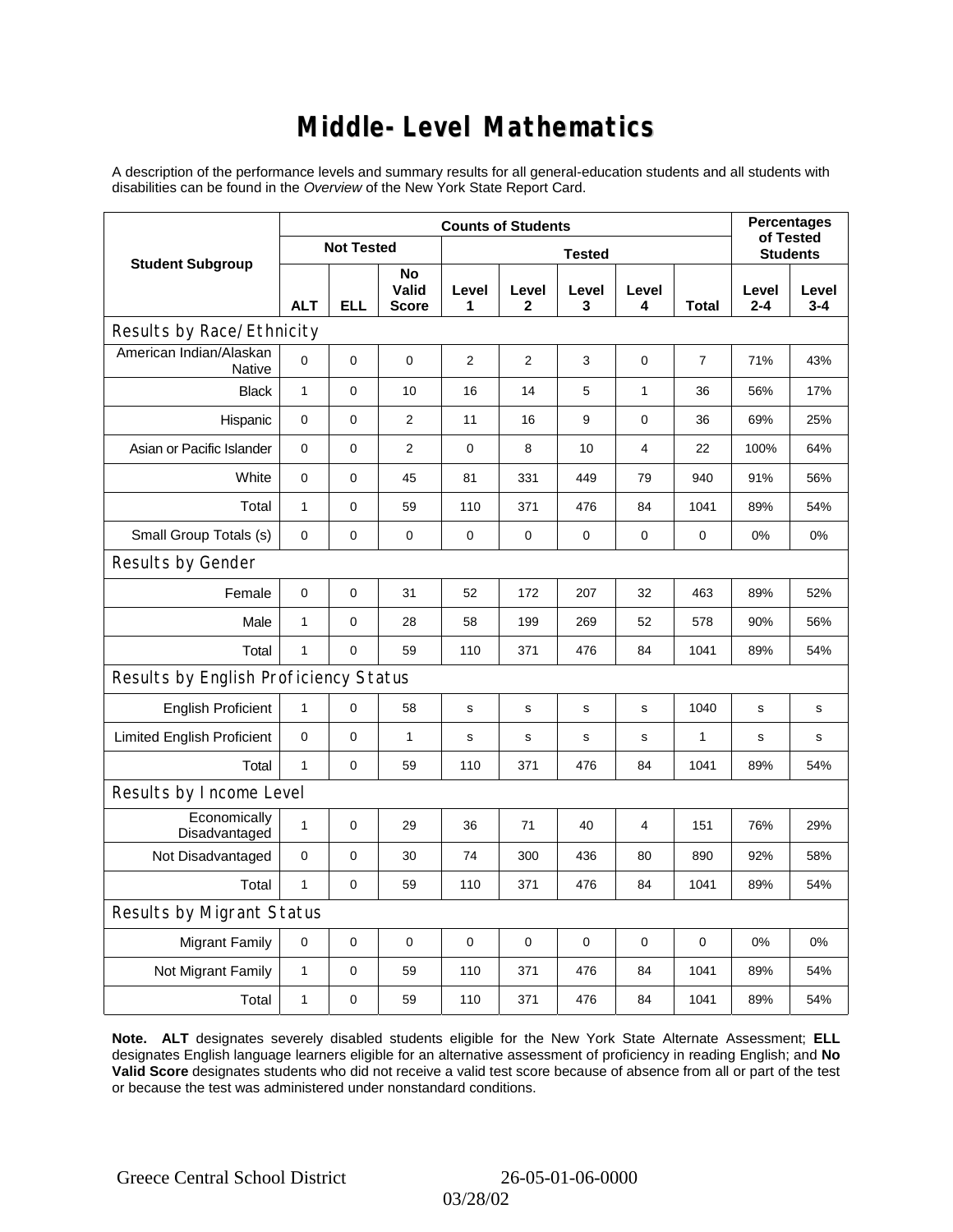### **Middle-Level Mathematics**

A description of the performance levels and summary results for all general-education students and all students with disabilities can be found in the *Overview* of the New York State Report Card.

|                                       | <b>Counts of Students</b> |                   |                             |             |                       |             |                |                 |                  | <b>Percentages</b><br>of Tested |  |
|---------------------------------------|---------------------------|-------------------|-----------------------------|-------------|-----------------------|-------------|----------------|-----------------|------------------|---------------------------------|--|
| <b>Student Subgroup</b>               |                           | <b>Not Tested</b> |                             |             |                       |             |                | <b>Students</b> |                  |                                 |  |
|                                       | <b>ALT</b>                | <b>ELL</b>        | No<br>Valid<br><b>Score</b> | Level<br>1  | Level<br>$\mathbf{2}$ | Level<br>3  | Level<br>4     | <b>Total</b>    | Level<br>$2 - 4$ | Level<br>$3 - 4$                |  |
| Results by Race/Ethnicity             |                           |                   |                             |             |                       |             |                |                 |                  |                                 |  |
| American Indian/Alaskan<br>Native     | $\mathbf 0$               | 0                 | $\mathbf 0$                 | 2           | $\overline{2}$        | 3           | 0              | $\overline{7}$  | 71%              | 43%                             |  |
| <b>Black</b>                          | $\mathbf{1}$              | 0                 | 10                          | 16          | 14                    | 5           | $\mathbf{1}$   | 36              | 56%              | 17%                             |  |
| Hispanic                              | 0                         | 0                 | 2                           | 11          | 16                    | 9           | 0              | 36              | 69%              | 25%                             |  |
| Asian or Pacific Islander             | 0                         | 0                 | $\overline{2}$              | $\mathbf 0$ | 8                     | 10          | $\overline{4}$ | 22              | 100%             | 64%                             |  |
| White                                 | $\mathbf 0$               | 0                 | 45                          | 81          | 331                   | 449         | 79             | 940             | 91%              | 56%                             |  |
| Total                                 | $\mathbf{1}$              | 0                 | 59                          | 110         | 371                   | 476         | 84             | 1041            | 89%              | 54%                             |  |
| Small Group Totals (s)                | $\mathbf 0$               | 0                 | $\pmb{0}$                   | $\mathbf 0$ | 0                     | 0           | 0              | 0               | 0%               | 0%                              |  |
| Results by Gender                     |                           |                   |                             |             |                       |             |                |                 |                  |                                 |  |
| Female                                | $\mathbf 0$               | 0                 | 31                          | 52          | 172                   | 207         | 32             | 463             | 89%              | 52%                             |  |
| Male                                  | $\mathbf{1}$              | 0                 | 28                          | 58          | 199                   | 269         | 52             | 578             | 90%              | 56%                             |  |
| Total                                 | $\mathbf{1}$              | 0                 | 59                          | 110         | 371                   | 476         | 84             | 1041            | 89%              | 54%                             |  |
| Results by English Proficiency Status |                           |                   |                             |             |                       |             |                |                 |                  |                                 |  |
| <b>English Proficient</b>             | $\mathbf{1}$              | 0                 | 58                          | s           | ${\tt S}$             | ${\tt S}$   | s              | 1040            | s                | s                               |  |
| <b>Limited English Proficient</b>     | 0                         | 0                 | $\mathbf{1}$                | s           | s                     | $\mathbf s$ | s              | $\mathbf{1}$    | $\mathbf s$      | s                               |  |
| Total                                 | $\mathbf{1}$              | 0                 | 59                          | 110         | 371                   | 476         | 84             | 1041            | 89%              | 54%                             |  |
| Results by Income Level               |                           |                   |                             |             |                       |             |                |                 |                  |                                 |  |
| Economically<br>Disadvantaged         | $\mathbf{1}$              | 0                 | 29                          | 36          | 71                    | 40          | 4              | 151             | 76%              | 29%                             |  |
| Not Disadvantaged                     | 0                         | 0                 | 30                          | 74          | 300                   | 436         | 80             | 890             | 92%              | 58%                             |  |
| Total                                 | $\mathbf{1}$              | 0                 | 59                          | 110         | 371                   | 476         | 84             | 1041            | 89%              | 54%                             |  |
| <b>Results by Migrant Status</b>      |                           |                   |                             |             |                       |             |                |                 |                  |                                 |  |
| <b>Migrant Family</b>                 | $\mathbf 0$               | 0                 | 0                           | $\mathbf 0$ | 0                     | $\mathbf 0$ | 0              | $\mathbf 0$     | 0%               | 0%                              |  |
| Not Migrant Family                    | $\mathbf{1}$              | 0                 | 59                          | 110         | 371                   | 476         | 84             | 1041            | 89%              | 54%                             |  |
| Total                                 | 1                         | 0                 | 59                          | 110         | 371                   | 476         | 84             | 1041            | 89%              | 54%                             |  |